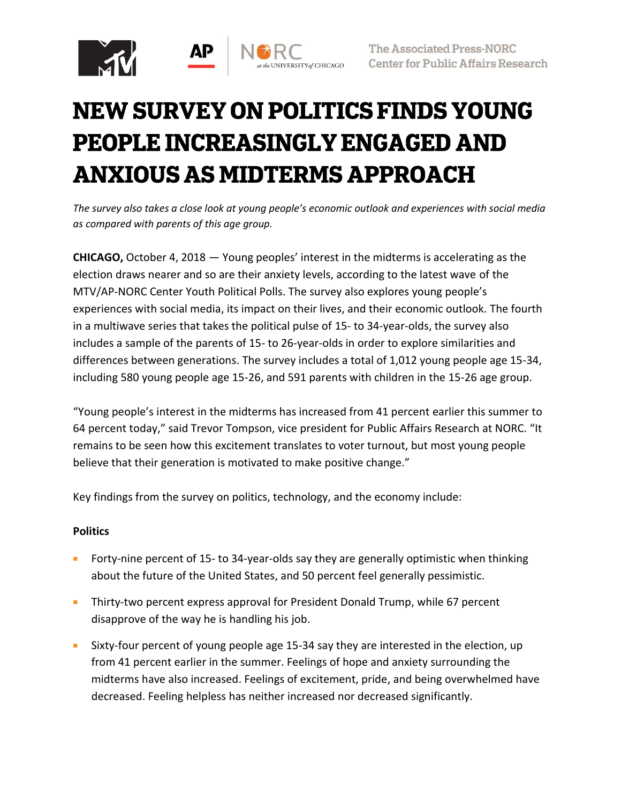

# **NEW SURVEY ON POLITICS FINDS YOUNG PEOPLE INCREASINGLY ENGAGED AND ANXIOUS AS MIDTERMS APPROACH**

*The survey also takes a close look at young people's economic outlook and experiences with social media as compared with parents of this age group.*

**CHICAGO,** October 4, 2018 — Young peoples' interest in the midterms is accelerating as the election draws nearer and so are their anxiety levels, according to the latest wave of the MTV/AP-NORC Center Youth Political Polls. The survey also explores young people's experiences with social media, its impact on their lives, and their economic outlook. The fourth in a multiwave series that takes the political pulse of 15- to 34-year-olds, the survey also includes a sample of the parents of 15- to 26-year-olds in order to explore similarities and differences between generations. The survey includes a total of 1,012 young people age 15-34, including 580 young people age 15-26, and 591 parents with children in the 15-26 age group.

"Young people's interest in the midterms has increased from 41 percent earlier this summer to 64 percent today," said Trevor Tompson, vice president for Public Affairs Research at NORC. "It remains to be seen how this excitement translates to voter turnout, but most young people believe that their generation is motivated to make positive change."

Key findings from the survey on politics, technology, and the economy include:

# **Politics**

- Forty-nine percent of 15- to 34-year-olds say they are generally optimistic when thinking about the future of the United States, and 50 percent feel generally pessimistic.
- Thirty-two percent express approval for President Donald Trump, while 67 percent disapprove of the way he is handling his job.
- Sixty-four percent of young people age 15-34 say they are interested in the election, up from 41 percent earlier in the summer. Feelings of hope and anxiety surrounding the midterms have also increased. Feelings of excitement, pride, and being overwhelmed have decreased. Feeling helpless has neither increased nor decreased significantly.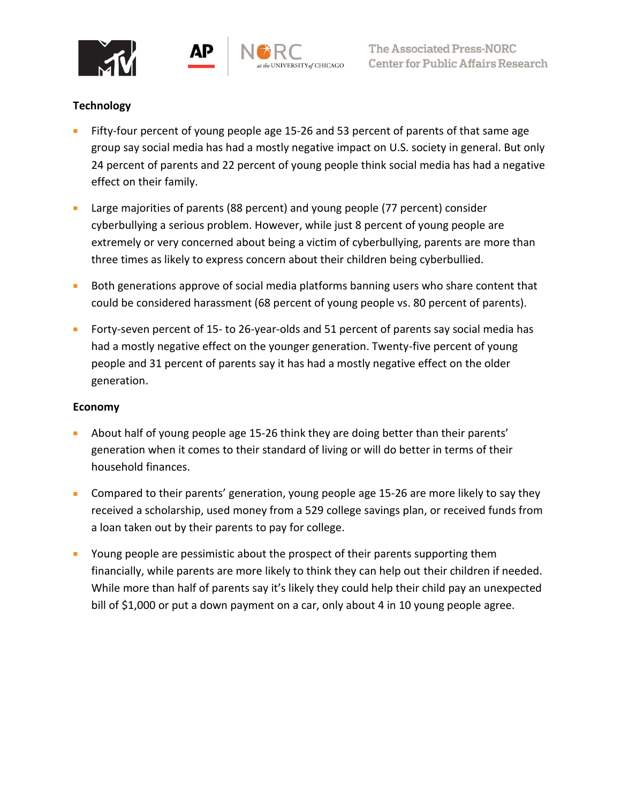





# **Technology**

- Fifty-four percent of young people age 15-26 and 53 percent of parents of that same age group say social media has had a mostly negative impact on U.S. society in general. But only 24 percent of parents and 22 percent of young people think social media has had a negative effect on their family.
- Large majorities of parents (88 percent) and young people (77 percent) consider cyberbullying a serious problem. However, while just 8 percent of young people are extremely or very concerned about being a victim of cyberbullying, parents are more than three times as likely to express concern about their children being cyberbullied.
- Both generations approve of social media platforms banning users who share content that could be considered harassment (68 percent of young people vs. 80 percent of parents).
- Forty-seven percent of 15- to 26-year-olds and 51 percent of parents say social media has had a mostly negative effect on the younger generation. Twenty-five percent of young people and 31 percent of parents say it has had a mostly negative effect on the older generation.

### **Economy**

- About half of young people age 15-26 think they are doing better than their parents' generation when it comes to their standard of living or will do better in terms of their household finances.
- Compared to their parents' generation, young people age 15-26 are more likely to say they received a scholarship, used money from a 529 college savings plan, or received funds from a loan taken out by their parents to pay for college.
- Young people are pessimistic about the prospect of their parents supporting them financially, while parents are more likely to think they can help out their children if needed. While more than half of parents say it's likely they could help their child pay an unexpected bill of \$1,000 or put a down payment on a car, only about 4 in 10 young people agree.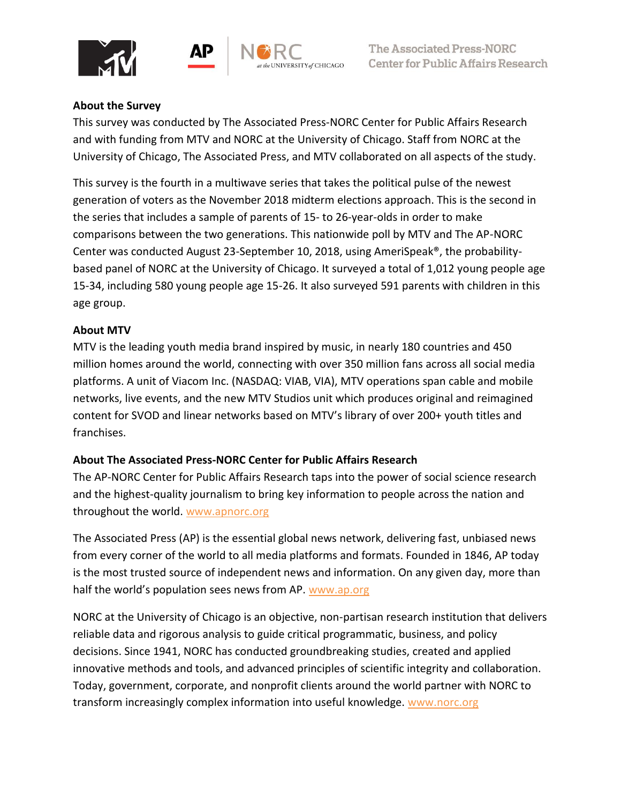





# **About the Survey**

This survey was conducted by The Associated Press-NORC Center for Public Affairs Research and with funding from MTV and NORC at the University of Chicago. Staff from NORC at the University of Chicago, The Associated Press, and MTV collaborated on all aspects of the study.

This survey is the fourth in a multiwave series that takes the political pulse of the newest generation of voters as the November 2018 midterm elections approach. This is the second in the series that includes a sample of parents of 15- to 26-year-olds in order to make comparisons between the two generations. This nationwide poll by MTV and The AP-NORC Center was conducted August 23-September 10, 2018, using AmeriSpeak®, the probabilitybased panel of NORC at the University of Chicago. It surveyed a total of 1,012 young people age 15-34, including 580 young people age 15-26. It also surveyed 591 parents with children in this age group.

# **About MTV**

MTV is the leading youth media brand inspired by music, in nearly 180 countries and 450 million homes around the world, connecting with over 350 million fans across all social media platforms. A unit of Viacom Inc. (NASDAQ: VIAB, VIA), MTV operations span cable and mobile networks, live events, and the new MTV Studios unit which produces original and reimagined content for SVOD and linear networks based on MTV's library of over 200+ youth titles and franchises.

# **About The Associated Press-NORC Center for Public Affairs Research**

The AP-NORC Center for Public Affairs Research taps into the power of social science research and the highest-quality journalism to bring key information to people across the nation and throughout the world. [www.apnorc.org](http://www.apnorc.org/)

The Associated Press (AP) is the essential global news network, delivering fast, unbiased news from every corner of the world to all media platforms and formats. Founded in 1846, AP today is the most trusted source of independent news and information. On any given day, more than half the world's population sees news from AP. [www.ap.org](http://www.ap.org/)

NORC at the University of Chicago is an objective, non-partisan research institution that delivers reliable data and rigorous analysis to guide critical programmatic, business, and policy decisions. Since 1941, NORC has conducted groundbreaking studies, created and applied innovative methods and tools, and advanced principles of scientific integrity and collaboration. Today, government, corporate, and nonprofit clients around the world partner with NORC to transform increasingly complex information into useful knowledge. [www.norc.org](http://www.norc.org/)